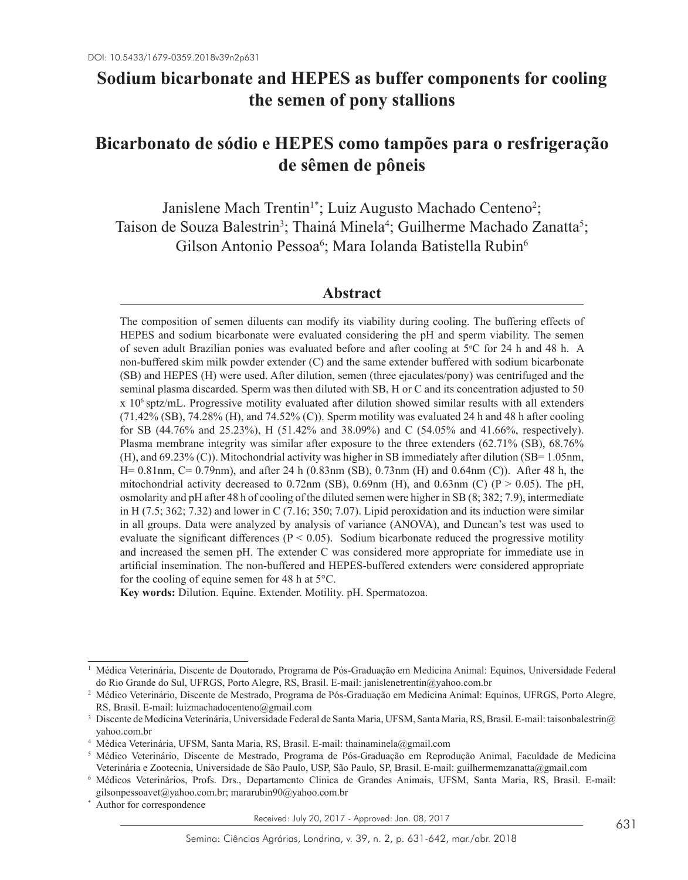# **Sodium bicarbonate and HEPES as buffer components for cooling the semen of pony stallions**

# **Bicarbonato de sódio e HEPES como tampões para o resfrigeração de sêmen de pôneis**

Janislene Mach Trentin<sup>1\*</sup>; Luiz Augusto Machado Centeno<sup>2</sup>; Taison de Souza Balestrin<sup>3</sup>; Thainá Minela<sup>4</sup>; Guilherme Machado Zanatta<sup>5</sup>; Gilson Antonio Pessoa<sup>6</sup>; Mara Iolanda Batistella Rubin<sup>6</sup>

## **Abstract**

The composition of semen diluents can modify its viability during cooling. The buffering effects of HEPES and sodium bicarbonate were evaluated considering the pH and sperm viability. The semen of seven adult Brazilian ponies was evaluated before and after cooling at 5°C for 24 h and 48 h. A non-buffered skim milk powder extender (C) and the same extender buffered with sodium bicarbonate (SB) and HEPES (H) were used. After dilution, semen (three ejaculates/pony) was centrifuged and the seminal plasma discarded. Sperm was then diluted with SB, H or C and its concentration adjusted to 50 x 106 sptz/mL. Progressive motility evaluated after dilution showed similar results with all extenders  $(71.42\%$  (SB),  $74.28\%$  (H), and  $74.52\%$  (C)). Sperm motility was evaluated 24 h and 48 h after cooling for SB (44.76% and 25.23%), H (51.42% and 38.09%) and C (54.05% and 41.66%, respectively). Plasma membrane integrity was similar after exposure to the three extenders (62.71% (SB), 68.76% (H), and 69.23% (C)). Mitochondrial activity was higher in SB immediately after dilution (SB= 1.05nm, H= 0.81nm, C= 0.79nm), and after 24 h (0.83nm (SB), 0.73nm (H) and 0.64nm (C)). After 48 h, the mitochondrial activity decreased to 0.72nm (SB), 0.69nm (H), and 0.63nm (C) (P  $> 0.05$ ). The pH, osmolarity and pH after 48 h of cooling of the diluted semen were higher in SB (8; 382; 7.9), intermediate in H (7.5; 362; 7.32) and lower in C (7.16; 350; 7.07). Lipid peroxidation and its induction were similar in all groups. Data were analyzed by analysis of variance (ANOVA), and Duncan's test was used to evaluate the significant differences ( $P < 0.05$ ). Sodium bicarbonate reduced the progressive motility and increased the semen pH. The extender C was considered more appropriate for immediate use in artificial insemination. The non-buffered and HEPES-buffered extenders were considered appropriate for the cooling of equine semen for 48 h at 5°C.

**Key words:** Dilution. Equine. Extender. Motility. pH. Spermatozoa.

<sup>1</sup> Médica Veterinária, Discente de Doutorado, Programa de Pós-Graduação em Medicina Animal: Equinos, Universidade Federal do Rio Grande do Sul, UFRGS, Porto Alegre, RS, Brasil. E-mail: janislenetrentin@yahoo.com.br

<sup>2</sup> Médico Veterinário, Discente de Mestrado, Programa de Pós-Graduação em Medicina Animal: Equinos, UFRGS, Porto Alegre, RS, Brasil. E-mail: luizmachadocenteno@gmail.com

<sup>3</sup> Discente de Medicina Veterinária, Universidade Federal de Santa Maria, UFSM, Santa Maria, RS, Brasil. E-mail: taisonbalestrin@ yahoo.com.br

<sup>4</sup> Médica Veterinária, UFSM, Santa Maria, RS, Brasil. E-mail: thainaminela@gmail.com

<sup>5</sup> Médico Veterinário, Discente de Mestrado, Programa de Pós-Graduação em Reprodução Animal, Faculdade de Medicina Veterinária e Zootecnia, Universidade de São Paulo, USP, São Paulo, SP, Brasil. E-mail: guilhermemzanatta@gmail.com

<sup>6</sup> Médicos Veterinários, Profs. Drs., Departamento Clinica de Grandes Animais, UFSM, Santa Maria, RS, Brasil. E-mail: gilsonpessoavet@yahoo.com.br; mararubin90@yahoo.com.br

Author for correspondence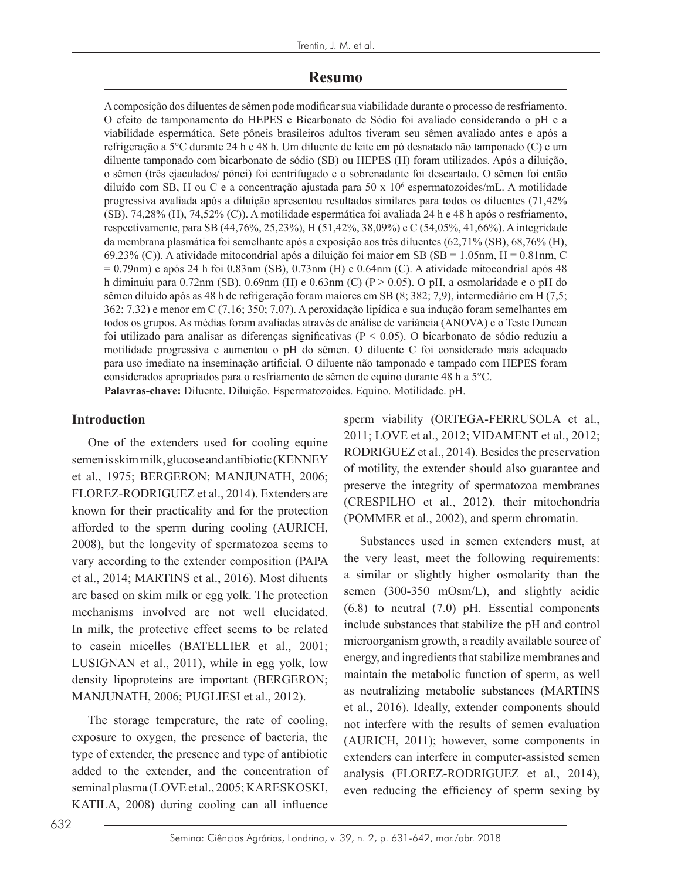### **Resumo**

A composição dos diluentes de sêmen pode modificar sua viabilidade durante o processo de resfriamento. O efeito de tamponamento do HEPES e Bicarbonato de Sódio foi avaliado considerando o pH e a viabilidade espermática. Sete pôneis brasileiros adultos tiveram seu sêmen avaliado antes e após a refrigeração a 5°C durante 24 h e 48 h. Um diluente de leite em pó desnatado não tamponado (C) e um diluente tamponado com bicarbonato de sódio (SB) ou HEPES (H) foram utilizados. Após a diluição, o sêmen (três ejaculados/ pônei) foi centrifugado e o sobrenadante foi descartado. O sêmen foi então diluído com SB, H ou C e a concentração ajustada para 50 x 106 espermatozoides/mL. A motilidade progressiva avaliada após a diluição apresentou resultados similares para todos os diluentes (71,42% (SB), 74,28% (H), 74,52% (C)). A motilidade espermática foi avaliada 24 h e 48 h após o resfriamento, respectivamente, para SB (44,76%, 25,23%), H (51,42%, 38,09%) e C (54,05%, 41,66%). A integridade da membrana plasmática foi semelhante após a exposição aos três diluentes (62,71% (SB), 68,76% (H), 69,23% (C)). A atividade mitocondrial após a diluição foi maior em SB (SB = 1.05nm, H = 0.81nm, C = 0.79nm) e após 24 h foi 0.83nm (SB), 0.73nm (H) e 0.64nm (C). A atividade mitocondrial após 48 h diminuiu para 0.72nm (SB), 0.69nm (H) e 0.63nm (C) (P > 0.05). O pH, a osmolaridade e o pH do sêmen diluído após as 48 h de refrigeração foram maiores em SB (8; 382; 7,9), intermediário em H (7,5; 362; 7,32) e menor em C (7,16; 350; 7,07). A peroxidação lipídica e sua indução foram semelhantes em todos os grupos. As médias foram avaliadas através de análise de variância (ANOVA) e o Teste Duncan foi utilizado para analisar as diferenças significativas (P < 0.05). O bicarbonato de sódio reduziu a motilidade progressiva e aumentou o pH do sêmen. O diluente C foi considerado mais adequado para uso imediato na inseminação artificial. O diluente não tamponado e tampado com HEPES foram considerados apropriados para o resfriamento de sêmen de equino durante 48 h a 5°C. **Palavras-chave:** Diluente. Diluição. Espermatozoides. Equino. Motilidade. pH.

#### **Introduction**

One of the extenders used for cooling equine semen is skim milk, glucose and antibiotic (KENNEY et al., 1975; BERGERON; MANJUNATH, 2006; FLOREZ-RODRIGUEZ et al., 2014). Extenders are known for their practicality and for the protection afforded to the sperm during cooling (AURICH, 2008), but the longevity of spermatozoa seems to vary according to the extender composition (PAPA et al., 2014; MARTINS et al., 2016). Most diluents are based on skim milk or egg yolk. The protection mechanisms involved are not well elucidated. In milk, the protective effect seems to be related to casein micelles (BATELLIER et al., 2001; LUSIGNAN et al., 2011), while in egg yolk, low density lipoproteins are important (BERGERON; MANJUNATH, 2006; PUGLIESI et al., 2012).

The storage temperature, the rate of cooling, exposure to oxygen, the presence of bacteria, the type of extender, the presence and type of antibiotic added to the extender, and the concentration of seminal plasma (LOVE et al., 2005; KARESKOSKI, KATILA, 2008) during cooling can all influence

sperm viability (ORTEGA-FERRUSOLA et al., 2011; LOVE et al., 2012; VIDAMENT et al., 2012; RODRIGUEZ et al., 2014). Besides the preservation of motility, the extender should also guarantee and preserve the integrity of spermatozoa membranes (CRESPILHO et al., 2012), their mitochondria (POMMER et al., 2002), and sperm chromatin.

Substances used in semen extenders must, at the very least, meet the following requirements: a similar or slightly higher osmolarity than the semen (300-350 mOsm/L), and slightly acidic (6.8) to neutral (7.0) pH. Essential components include substances that stabilize the pH and control microorganism growth, a readily available source of energy, and ingredients that stabilize membranes and maintain the metabolic function of sperm, as well as neutralizing metabolic substances (MARTINS et al., 2016). Ideally, extender components should not interfere with the results of semen evaluation (AURICH, 2011); however, some components in extenders can interfere in computer-assisted semen analysis (FLOREZ-RODRIGUEZ et al., 2014), even reducing the efficiency of sperm sexing by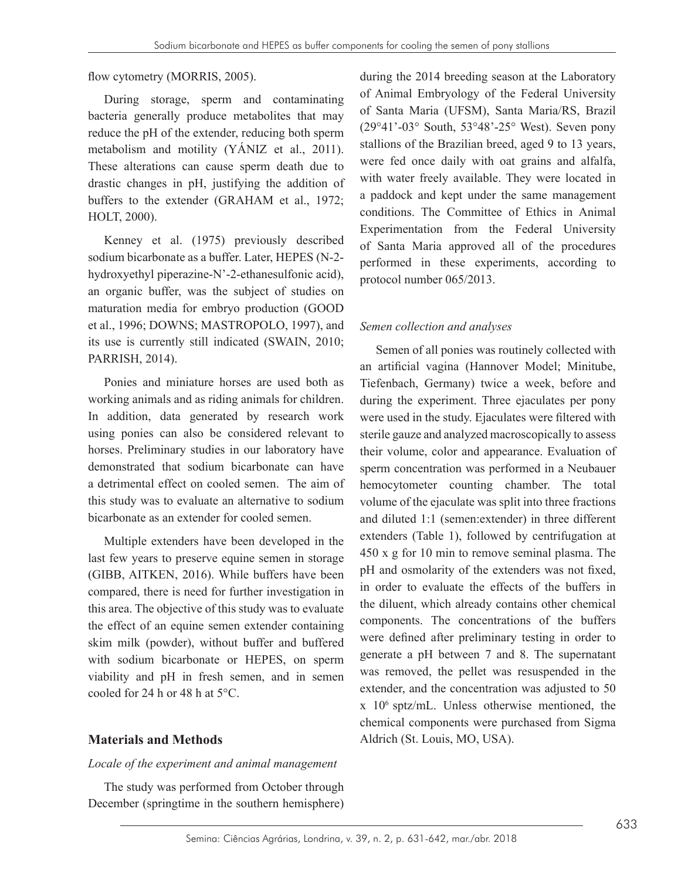flow cytometry (MORRIS, 2005).

During storage, sperm and contaminating bacteria generally produce metabolites that may reduce the pH of the extender, reducing both sperm metabolism and motility (YÁNIZ et al., 2011). These alterations can cause sperm death due to drastic changes in pH, justifying the addition of buffers to the extender (GRAHAM et al., 1972; HOLT, 2000).

Kenney et al. (1975) previously described sodium bicarbonate as a buffer. Later, HEPES (N-2 hydroxyethyl piperazine-N'-2-ethanesulfonic acid), an organic buffer, was the subject of studies on maturation media for embryo production (GOOD et al., 1996; DOWNS; MASTROPOLO, 1997), and its use is currently still indicated (SWAIN, 2010; PARRISH, 2014).

Ponies and miniature horses are used both as working animals and as riding animals for children. In addition, data generated by research work using ponies can also be considered relevant to horses. Preliminary studies in our laboratory have demonstrated that sodium bicarbonate can have a detrimental effect on cooled semen. The aim of this study was to evaluate an alternative to sodium bicarbonate as an extender for cooled semen.

Multiple extenders have been developed in the last few years to preserve equine semen in storage (GIBB, AITKEN, 2016). While buffers have been compared, there is need for further investigation in this area. The objective of this study was to evaluate the effect of an equine semen extender containing skim milk (powder), without buffer and buffered with sodium bicarbonate or HEPES, on sperm viability and pH in fresh semen, and in semen cooled for 24 h or 48 h at 5°C.

## **Materials and Methods**

#### *Locale of the experiment and animal management*

The study was performed from October through December (springtime in the southern hemisphere) during the 2014 breeding season at the Laboratory of Animal Embryology of the Federal University of Santa Maria (UFSM), Santa Maria/RS, Brazil (29°41'-03° South, 53°48'-25° West). Seven pony stallions of the Brazilian breed, aged 9 to 13 years, were fed once daily with oat grains and alfalfa, with water freely available. They were located in a paddock and kept under the same management conditions. The Committee of Ethics in Animal Experimentation from the Federal University of Santa Maria approved all of the procedures performed in these experiments, according to protocol number 065/2013.

### *Semen collection and analyses*

Semen of all ponies was routinely collected with an artificial vagina (Hannover Model; Minitube, Tiefenbach, Germany) twice a week, before and during the experiment. Three ejaculates per pony were used in the study. Ejaculates were filtered with sterile gauze and analyzed macroscopically to assess their volume, color and appearance. Evaluation of sperm concentration was performed in a Neubauer hemocytometer counting chamber. The total volume of the ejaculate was split into three fractions and diluted 1:1 (semen:extender) in three different extenders (Table 1), followed by centrifugation at 450 x g for 10 min to remove seminal plasma. The pH and osmolarity of the extenders was not fixed, in order to evaluate the effects of the buffers in the diluent, which already contains other chemical components. The concentrations of the buffers were defined after preliminary testing in order to generate a pH between 7 and 8. The supernatant was removed, the pellet was resuspended in the extender, and the concentration was adjusted to 50 x 106 sptz/mL. Unless otherwise mentioned, the chemical components were purchased from Sigma Aldrich (St. Louis, MO, USA).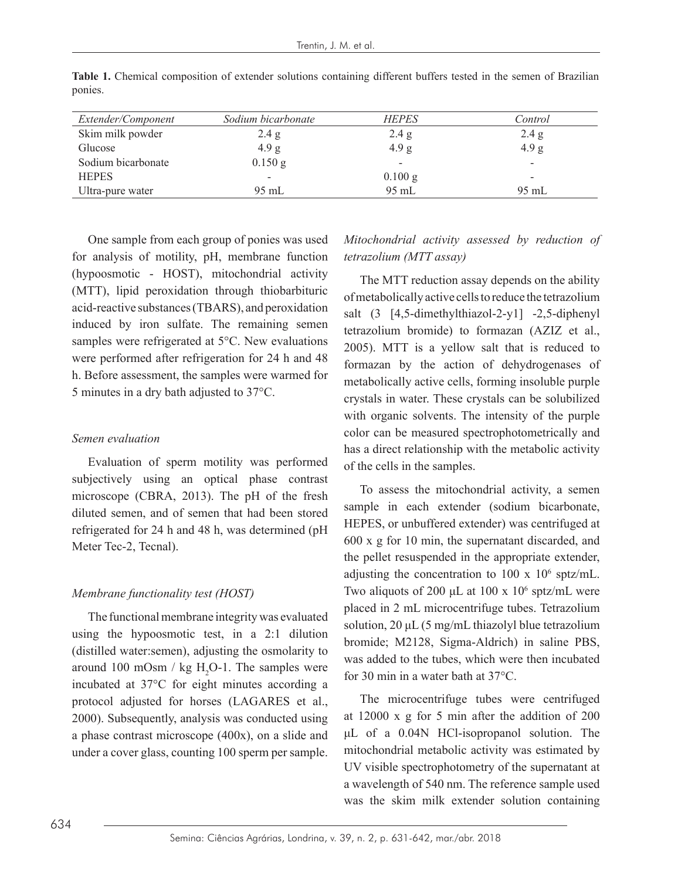| Extender/Component | Sodium bicarbonate       | <b>HEPES</b>             | Control         |
|--------------------|--------------------------|--------------------------|-----------------|
| Skim milk powder   | 2.4 g                    | 2.4 g                    | 2.4 g           |
| Glucose            | 4.9 g                    | 4.9 g                    | 4.9 g           |
| Sodium bicarbonate | $0.150$ g                | $\overline{\phantom{a}}$ | -               |
| <b>HEPES</b>       | $\overline{\phantom{a}}$ | $0.100$ g                | -               |
| Ultra-pure water   | $95 \text{ mL}$          | 95 mL                    | $95 \text{ mL}$ |

**Table 1.** Chemical composition of extender solutions containing different buffers tested in the semen of Brazilian ponies.

One sample from each group of ponies was used for analysis of motility, pH, membrane function (hypoosmotic - HOST), mitochondrial activity (MTT), lipid peroxidation through thiobarbituric acid-reactive substances (TBARS), and peroxidation induced by iron sulfate. The remaining semen samples were refrigerated at 5°C. New evaluations were performed after refrigeration for 24 h and 48 h. Before assessment, the samples were warmed for 5 minutes in a dry bath adjusted to 37°C.

#### *Semen evaluation*

Evaluation of sperm motility was performed subjectively using an optical phase contrast microscope (CBRA, 2013). The pH of the fresh diluted semen, and of semen that had been stored refrigerated for 24 h and 48 h, was determined (pH Meter Tec-2, Tecnal).

#### *Membrane functionality test (HOST)*

The functional membrane integrity was evaluated using the hypoosmotic test, in a 2:1 dilution (distilled water:semen), adjusting the osmolarity to around 100 mOsm /  $kg H<sub>2</sub>O-1$ . The samples were incubated at 37°C for eight minutes according a protocol adjusted for horses (LAGARES et al., 2000). Subsequently, analysis was conducted using a phase contrast microscope (400x), on a slide and under a cover glass, counting 100 sperm per sample.

*Mitochondrial activity assessed by reduction of tetrazolium (MTT assay)*

The MTT reduction assay depends on the ability of metabolically active cells to reduce the tetrazolium salt (3 [4,5-dimethylthiazol-2-y1] -2,5-diphenyl tetrazolium bromide) to formazan (AZIZ et al., 2005). MTT is a yellow salt that is reduced to formazan by the action of dehydrogenases of metabolically active cells, forming insoluble purple crystals in water. These crystals can be solubilized with organic solvents. The intensity of the purple color can be measured spectrophotometrically and has a direct relationship with the metabolic activity of the cells in the samples.

To assess the mitochondrial activity, a semen sample in each extender (sodium bicarbonate, HEPES, or unbuffered extender) was centrifuged at 600 x g for 10 min, the supernatant discarded, and the pellet resuspended in the appropriate extender, adjusting the concentration to  $100 \times 10^6$  sptz/mL. Two aliquots of 200  $\mu$ L at 100 x 10<sup>6</sup> sptz/mL were placed in 2 mL microcentrifuge tubes. Tetrazolium solution,  $20 \mu L$  (5 mg/mL thiazolyl blue tetrazolium bromide; M2128, Sigma-Aldrich) in saline PBS, was added to the tubes, which were then incubated for 30 min in a water bath at 37°C.

The microcentrifuge tubes were centrifuged at 12000 x g for 5 min after the addition of 200 μL of a 0.04N HCl-isopropanol solution. The mitochondrial metabolic activity was estimated by UV visible spectrophotometry of the supernatant at a wavelength of 540 nm. The reference sample used was the skim milk extender solution containing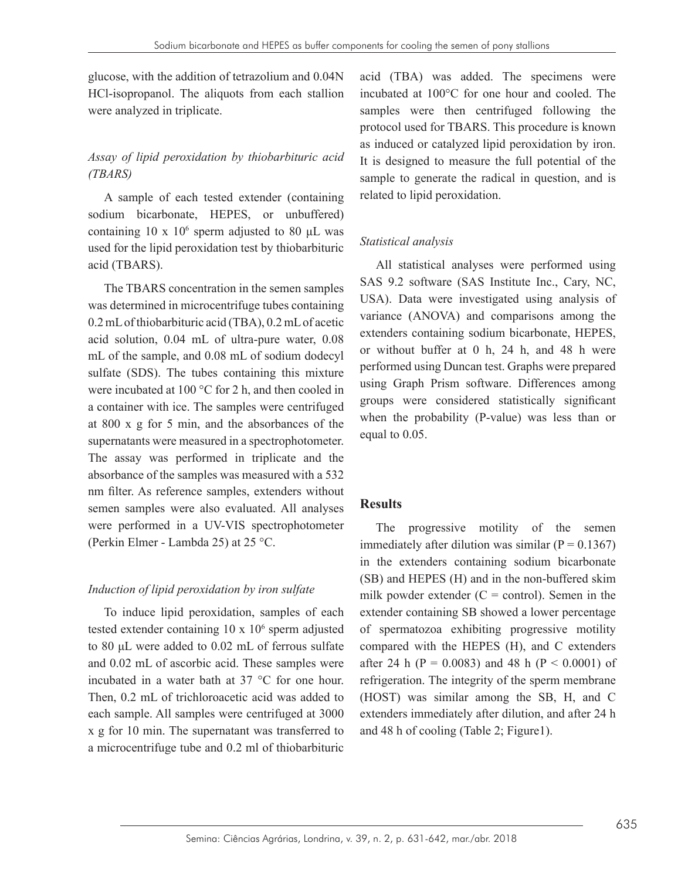glucose, with the addition of tetrazolium and 0.04N HCl-isopropanol. The aliquots from each stallion were analyzed in triplicate.

# *Assay of lipid peroxidation by thiobarbituric acid (TBARS)*

A sample of each tested extender (containing sodium bicarbonate, HEPES, or unbuffered) containing  $10 \times 10^6$  sperm adjusted to 80 µL was used for the lipid peroxidation test by thiobarbituric acid (TBARS).

The TBARS concentration in the semen samples was determined in microcentrifuge tubes containing 0.2 mL of thiobarbituric acid (TBA), 0.2 mL of acetic acid solution, 0.04 mL of ultra-pure water, 0.08 mL of the sample, and 0.08 mL of sodium dodecyl sulfate (SDS). The tubes containing this mixture were incubated at 100 °C for 2 h, and then cooled in a container with ice. The samples were centrifuged at 800 x g for 5 min, and the absorbances of the supernatants were measured in a spectrophotometer. The assay was performed in triplicate and the absorbance of the samples was measured with a 532 nm filter. As reference samples, extenders without semen samples were also evaluated. All analyses were performed in a UV-VIS spectrophotometer (Perkin Elmer - Lambda 25) at 25 °C.

## *Induction of lipid peroxidation by iron sulfate*

To induce lipid peroxidation, samples of each tested extender containing 10 x 10<sup>6</sup> sperm adjusted to 80 μL were added to 0.02 mL of ferrous sulfate and 0.02 mL of ascorbic acid. These samples were incubated in a water bath at 37 °C for one hour. Then, 0.2 mL of trichloroacetic acid was added to each sample. All samples were centrifuged at 3000 x g for 10 min. The supernatant was transferred to a microcentrifuge tube and 0.2 ml of thiobarbituric

acid (TBA) was added. The specimens were incubated at 100°C for one hour and cooled. The samples were then centrifuged following the protocol used for TBARS. This procedure is known as induced or catalyzed lipid peroxidation by iron. It is designed to measure the full potential of the sample to generate the radical in question, and is related to lipid peroxidation.

## *Statistical analysis*

All statistical analyses were performed using SAS 9.2 software (SAS Institute Inc., Cary, NC, USA). Data were investigated using analysis of variance (ANOVA) and comparisons among the extenders containing sodium bicarbonate, HEPES, or without buffer at 0 h, 24 h, and 48 h were performed using Duncan test. Graphs were prepared using Graph Prism software. Differences among groups were considered statistically significant when the probability (P-value) was less than or equal to 0.05.

## **Results**

The progressive motility of the semen immediately after dilution was similar  $(P = 0.1367)$ in the extenders containing sodium bicarbonate (SB) and HEPES (H) and in the non-buffered skim milk powder extender  $(C = control)$ . Semen in the extender containing SB showed a lower percentage of spermatozoa exhibiting progressive motility compared with the HEPES (H), and C extenders after 24 h ( $P = 0.0083$ ) and 48 h ( $P < 0.0001$ ) of refrigeration. The integrity of the sperm membrane (HOST) was similar among the SB, H, and C extenders immediately after dilution, and after 24 h and 48 h of cooling (Table 2; Figure1).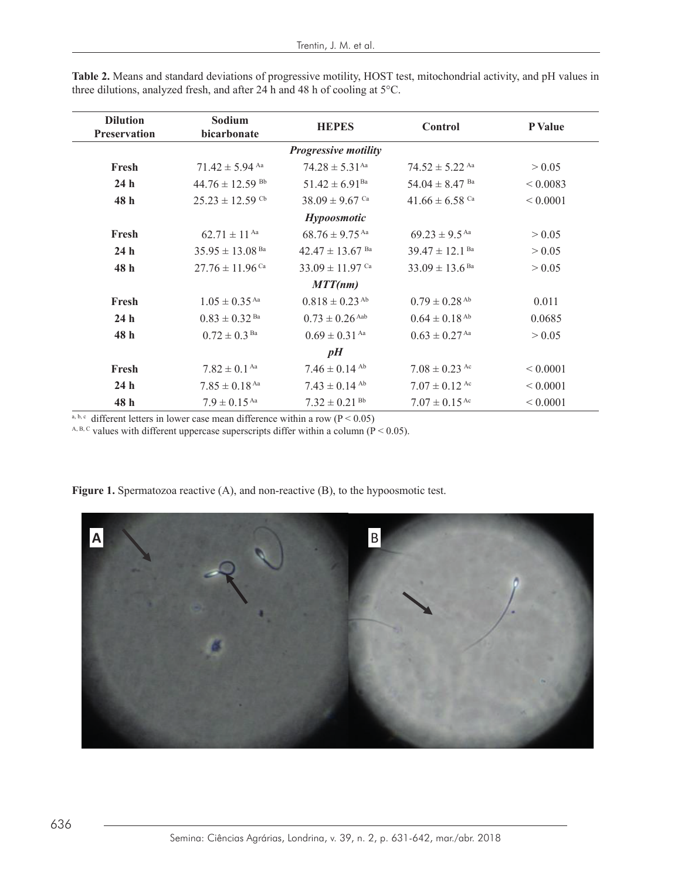| <b>Dilution</b><br><b>Preservation</b> | Sodium<br>bicarbonate           | <b>HEPES</b>                    | Control                        | P Value      |
|----------------------------------------|---------------------------------|---------------------------------|--------------------------------|--------------|
|                                        |                                 | <b>Progressive motility</b>     |                                |              |
| Fresh                                  | $71.42 \pm 5.94$ Aa             | $74.28 \pm 5.31$ <sup>Aa</sup>  | $74.52 \pm 5.22$ Aa            | > 0.05       |
| 24 <sub>h</sub>                        | $44.76 \pm 12.59$ <sup>Bb</sup> | $51.42 \pm 6.91$ <sup>Ba</sup>  | $54.04 \pm 8.47$ <sup>Ba</sup> | ${}< 0.0083$ |
| 48 h                                   | $25.23 \pm 12.59$ <sup>Cb</sup> | $38.09 \pm 9.67$ Ca             | $41.66 \pm 6.58$ Ca            | ${}< 0.0001$ |
|                                        |                                 | <b>Hypoosmotic</b>              |                                |              |
| Fresh                                  | $62.71 \pm 11^{Aa}$             | $68.76 \pm 9.75$ <sup>Aa</sup>  | $69.23 \pm 9.5$ <sup>Aa</sup>  | > 0.05       |
| 24 <sub>h</sub>                        | $35.95 \pm 13.08$ <sup>Ba</sup> | $42.47 \pm 13.67$ <sup>Ba</sup> | $39.47 \pm 12.1$ <sup>Ba</sup> | > 0.05       |
| 48 h                                   | $27.76 \pm 11.96$ Ca            | $33.09 \pm 11.97$ Ca            | $33.09 \pm 13.6$ <sup>Ba</sup> | > 0.05       |
|                                        |                                 | MTT(nm)                         |                                |              |
| Fresh                                  | $1.05 \pm 0.35$ <sup>Aa</sup>   | $0.818 \pm 0.23$ <sup>Ab</sup>  | $0.79 \pm 0.28$ <sup>Ab</sup>  | 0.011        |
| 24 <sub>h</sub>                        | $0.83 \pm 0.32$ <sup>Ba</sup>   | $0.73 \pm 0.26$ Aab             | $0.64 \pm 0.18$ <sup>Ab</sup>  | 0.0685       |
| 48 h                                   | $0.72 \pm 0.3$ <sup>Ba</sup>    | $0.69 \pm 0.31$ Aa              | $0.63 \pm 0.27$ <sup>Aa</sup>  | > 0.05       |
|                                        |                                 | pH                              |                                |              |
| Fresh                                  | $7.82 \pm 0.1$ Aa               | $7.46 \pm 0.14$ <sup>Ab</sup>   | $7.08 \pm 0.23$ Ac             | ${}< 0.0001$ |
| 24 <sub>h</sub>                        | $7.85 \pm 0.18$ <sup>Aa</sup>   | $7.43 \pm 0.14$ <sup>Ab</sup>   | $7.07 \pm 0.12$ Ac             | ${}< 0.0001$ |
| 48 h                                   | $7.9 \pm 0.15$ <sup>Aa</sup>    | $7.32 \pm 0.21$ <sup>Bb</sup>   | $7.07 \pm 0.15$ <sup>Ac</sup>  | ${}< 0.0001$ |

Table 2. Means and standard deviations of progressive motility, HOST test, mitochondrial activity, and pH values in three dilutions, analyzed fresh, and after 24 h and 48 h of cooling at  $5^{\circ}$ C.

a, b, c different letters in lower case mean difference within a row ( $P \le 0.05$ )

 $A, B, C$  values with different uppercase superscripts differ within a column (P < 0.05). <sup>A, B, C</sup> values with different uppercase superscripts differ within a column ( $P < 0.05$ ).



**Figure 1.** Spermatozoa reactive (A), and non-reactive (B), to the hypoosmotic test. **Figure 1.** Spermatozoa reactive (A), and non-reactive (B), to the hypoosmotic test.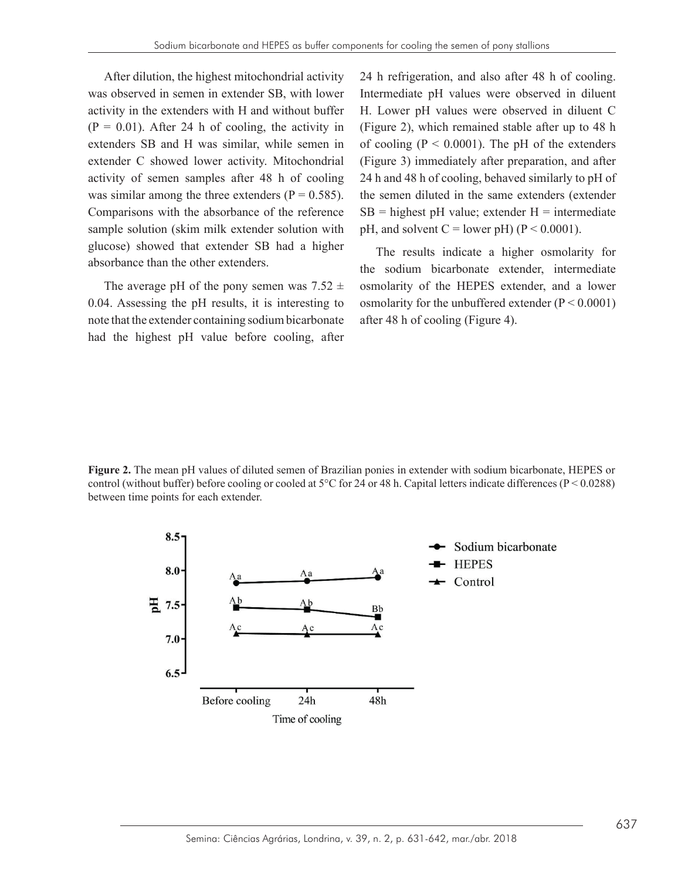After dilution, the highest mitochondrial activity was observed in semen in extender SB, with lower activity in the extenders with H and without buffer  $(P = 0.01)$ . After 24 h of cooling, the activity in extenders SB and H was similar, while semen in extender C showed lower activity. Mitochondrial activity of semen samples after 48 h of cooling was similar among the three extenders  $(P = 0.585)$ . Comparisons with the absorbance of the reference sample solution (skim milk extender solution with glucose) showed that extender SB had a higher absorbance than the other extenders.

The average pH of the pony semen was  $7.52 \pm$ 0.04. Assessing the pH results, it is interesting to note that the extender containing sodium bicarbonate had the highest pH value before cooling, after 24 h refrigeration, and also after 48 h of cooling. Intermediate pH values were observed in diluent H. Lower pH values were observed in diluent C (Figure 2), which remained stable after up to 48 h of cooling  $(P < 0.0001)$ . The pH of the extenders (Figure 3) immediately after preparation, and after 24 h and 48 h of cooling, behaved similarly to pH of the semen diluted in the same extenders (extender  $SB = highest pH value$ ; extender  $H = intermediate$ pH, and solvent  $C =$  lower pH) ( $P \le 0.0001$ ).

The results indicate a higher osmolarity for the sodium bicarbonate extender, intermediate osmolarity of the HEPES extender, and a lower osmolarity for the unbuffered extender  $(P < 0.0001)$ after 48 h of cooling (Figure 4).

**Figure 2.** The mean pH values of diluted semen of Brazilian ponies in extender with sodium bicarbonate, HEPES or control (without buffer) before cooling or cooled at 5°C for 24 or 48 h. Capital letters indicate differences (P < 0.0288) between time points for each extender.

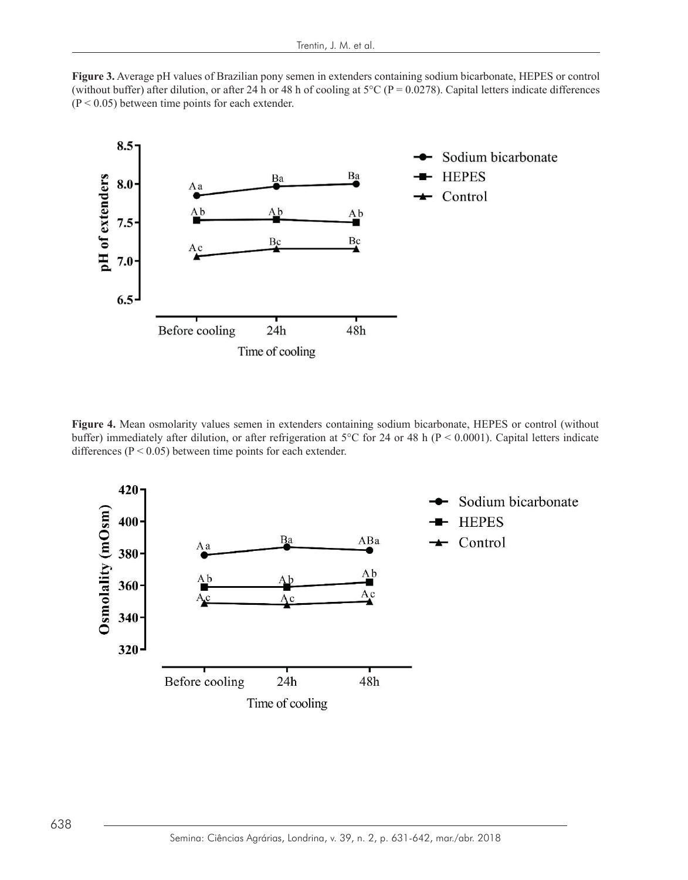**Figure 3.** Average pH values of Brazilian pony semen in extenders containing sodium bicarbonate, HEPES or control (without buffer) after dilution, or after 24 h or 48 h of cooling at  $5^{\circ}$ C (P = 0.0278). Capital letters indicate differences  $(P < 0.05)$  between time points for each extender.



**Figure 4.** Mean osmolarity values semen in extenders containing sodium bicarbonate, HEPES or control (without buffer) immediately after dilution, or after refrigeration at 5°C for 24 or 48 h ( $P < 0.0001$ ). Capital letters indicate differences ( $P < 0.05$ ) between time points for each extender.

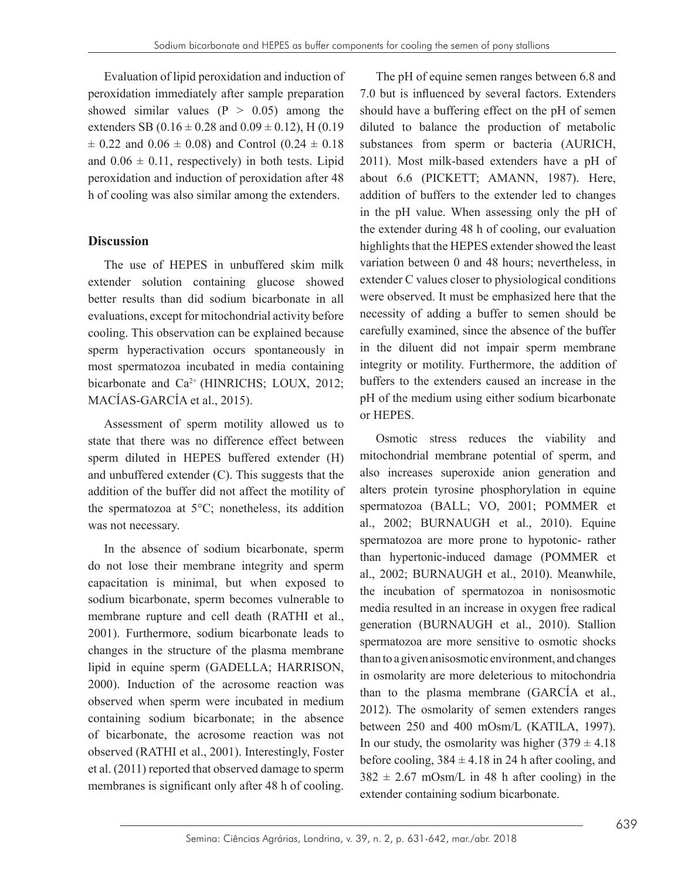Evaluation of lipid peroxidation and induction of peroxidation immediately after sample preparation showed similar values  $(P > 0.05)$  among the extenders SB (0.16  $\pm$  0.28 and 0.09  $\pm$  0.12), H (0.19  $\pm$  0.22 and 0.06  $\pm$  0.08) and Control (0.24  $\pm$  0.18 and  $0.06 \pm 0.11$ , respectively) in both tests. Lipid peroxidation and induction of peroxidation after 48 h of cooling was also similar among the extenders.

## **Discussion**

The use of HEPES in unbuffered skim milk extender solution containing glucose showed better results than did sodium bicarbonate in all evaluations, except for mitochondrial activity before cooling. This observation can be explained because sperm hyperactivation occurs spontaneously in most spermatozoa incubated in media containing bicarbonate and Ca<sup>2+</sup> (HINRICHS; LOUX, 2012; MACÍAS-GARCÍA et al., 2015).

Assessment of sperm motility allowed us to state that there was no difference effect between sperm diluted in HEPES buffered extender (H) and unbuffered extender (C). This suggests that the addition of the buffer did not affect the motility of the spermatozoa at 5°C; nonetheless, its addition was not necessary.

In the absence of sodium bicarbonate, sperm do not lose their membrane integrity and sperm capacitation is minimal, but when exposed to sodium bicarbonate, sperm becomes vulnerable to membrane rupture and cell death (RATHI et al., 2001). Furthermore, sodium bicarbonate leads to changes in the structure of the plasma membrane lipid in equine sperm (GADELLA; HARRISON, 2000). Induction of the acrosome reaction was observed when sperm were incubated in medium containing sodium bicarbonate; in the absence of bicarbonate, the acrosome reaction was not observed (RATHI et al., 2001). Interestingly, Foster et al. (2011) reported that observed damage to sperm membranes is significant only after 48 h of cooling.

The pH of equine semen ranges between 6.8 and 7.0 but is influenced by several factors. Extenders should have a buffering effect on the pH of semen diluted to balance the production of metabolic substances from sperm or bacteria (AURICH, 2011). Most milk-based extenders have a pH of about 6.6 (PICKETT; AMANN, 1987). Here, addition of buffers to the extender led to changes in the pH value. When assessing only the pH of the extender during 48 h of cooling, our evaluation highlights that the HEPES extender showed the least variation between 0 and 48 hours; nevertheless, in extender C values closer to physiological conditions were observed. It must be emphasized here that the necessity of adding a buffer to semen should be carefully examined, since the absence of the buffer in the diluent did not impair sperm membrane integrity or motility. Furthermore, the addition of buffers to the extenders caused an increase in the pH of the medium using either sodium bicarbonate or HEPES.

Osmotic stress reduces the viability and mitochondrial membrane potential of sperm, and also increases superoxide anion generation and alters protein tyrosine phosphorylation in equine spermatozoa (BALL; VO, 2001; POMMER et al., 2002; BURNAUGH et al., 2010). Equine spermatozoa are more prone to hypotonic- rather than hypertonic-induced damage (POMMER et al., 2002; BURNAUGH et al., 2010). Meanwhile, the incubation of spermatozoa in nonisosmotic media resulted in an increase in oxygen free radical generation (BURNAUGH et al., 2010). Stallion spermatozoa are more sensitive to osmotic shocks than to a given anisosmotic environment, and changes in osmolarity are more deleterious to mitochondria than to the plasma membrane (GARCÍA et al., 2012). The osmolarity of semen extenders ranges between 250 and 400 mOsm/L (KATILA, 1997). In our study, the osmolarity was higher  $(379 \pm 4.18)$ before cooling,  $384 \pm 4.18$  in 24 h after cooling, and  $382 \pm 2.67$  mOsm/L in 48 h after cooling) in the extender containing sodium bicarbonate.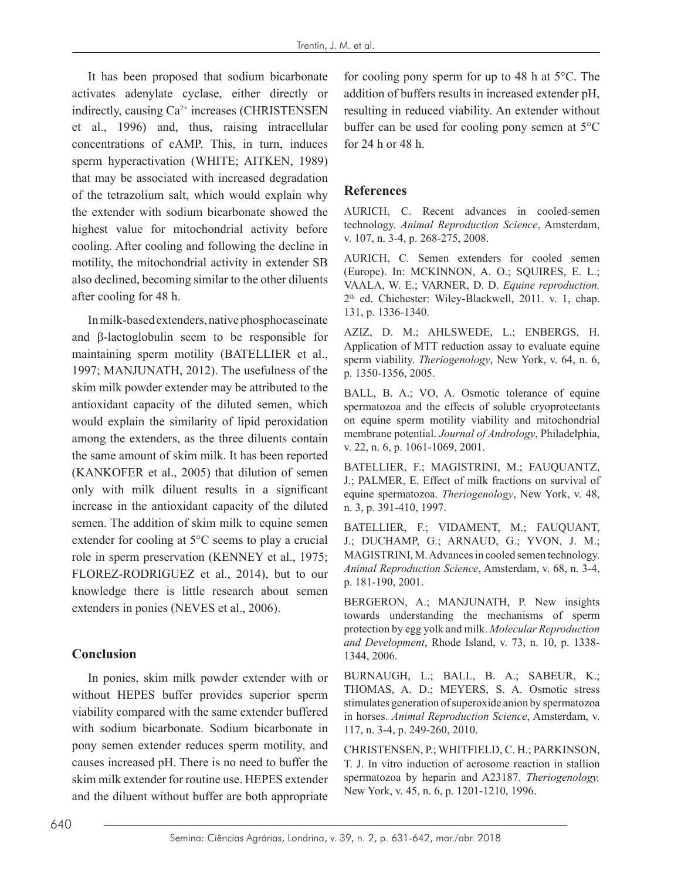It has been proposed that sodium bicarbonate activates adenylate cyclase, either directly or indirectly, causing Ca2+ increases (CHRISTENSEN et al., 1996) and, thus, raising intracellular concentrations of cAMP. This, in turn, induces sperm hyperactivation (WHITE; AITKEN, 1989) that may be associated with increased degradation of the tetrazolium salt, which would explain why the extender with sodium bicarbonate showed the highest value for mitochondrial activity before cooling. After cooling and following the decline in motility, the mitochondrial activity in extender SB also declined, becoming similar to the other diluents after cooling for 48 h.

In milk-based extenders, native phosphocaseinate and β-lactoglobulin seem to be responsible for maintaining sperm motility (BATELLIER et al., 1997; MANJUNATH, 2012). The usefulness of the skim milk powder extender may be attributed to the antioxidant capacity of the diluted semen, which would explain the similarity of lipid peroxidation among the extenders, as the three diluents contain the same amount of skim milk. It has been reported (KANKOFER et al., 2005) that dilution of semen only with milk diluent results in a significant increase in the antioxidant capacity of the diluted semen. The addition of skim milk to equine semen extender for cooling at 5°C seems to play a crucial role in sperm preservation (KENNEY et al., 1975; FLOREZ-RODRIGUEZ et al., 2014), but to our knowledge there is little research about semen extenders in ponies (NEVES et al., 2006).

## **Conclusion**

In ponies, skim milk powder extender with or without HEPES buffer provides superior sperm viability compared with the same extender buffered with sodium bicarbonate. Sodium bicarbonate in pony semen extender reduces sperm motility, and causes increased pH. There is no need to buffer the skim milk extender for routine use. HEPES extender and the diluent without buffer are both appropriate for cooling pony sperm for up to 48 h at 5°C. The addition of buffers results in increased extender pH, resulting in reduced viability. An extender without buffer can be used for cooling pony semen at 5°C for 24 h or 48 h.

## **References**

AURICH, C. Recent advances in cooled-semen technology. *Animal Reproduction Science*, Amsterdam, v. 107, n. 3-4, p. 268-275, 2008.

AURICH, C. Semen extenders for cooled semen (Europe). In: MCKINNON, A. O.; SQUIRES, E. L.; VAALA, W. E.; VARNER, D. D. *Equine reproduction.* 2<sup>th</sup> ed. Chichester: Wiley-Blackwell, 2011. v. 1, chap. 131, p. 1336-1340.

AZIZ, D. M.; AHLSWEDE, L.; ENBERGS, H. Application of MTT reduction assay to evaluate equine sperm viability. *Theriogenology*, New York, v. 64, n. 6, p. 1350-1356, 2005.

BALL, B. A.; VO, A. Osmotic tolerance of equine spermatozoa and the effects of soluble cryoprotectants on equine sperm motility viability and mitochondrial membrane potential. *Journal of Andrology*, Philadelphia, v. 22, n. 6, p. 1061-1069, 2001.

BATELLIER, F.; MAGISTRINI, M.; FAUQUANTZ, J.; PALMER, E. Effect of milk fractions on survival of equine spermatozoa. *Theriogenology*, New York, v. 48, n. 3, p. 391-410, 1997.

BATELLIER, F.; VIDAMENT, M.; FAUQUANT, J.; DUCHAMP, G.; ARNAUD, G.; YVON, J. M.; MAGISTRINI, M. Advances in cooled semen technology. *Animal Reproduction Science*, Amsterdam, v. 68, n. 3-4, p. 181-190, 2001.

BERGERON, A.; MANJUNATH, P. New insights towards understanding the mechanisms of sperm protection by egg yolk and milk. *Molecular Reproduction and Development*, Rhode Island, v. 73, n. 10, p. 1338- 1344, 2006.

BURNAUGH, L.; BALL, B. A.; SABEUR, K.; THOMAS, A. D.; MEYERS, S. A. Osmotic stress stimulates generation of superoxide anion by spermatozoa in horses. *Animal Reproduction Science*, Amsterdam, v. 117, n. 3-4, p. 249-260, 2010.

CHRISTENSEN, P.; WHITFIELD, C. H.; PARKINSON, T. J. In vitro induction of acrosome reaction in stallion spermatozoa by heparin and A23187. *Theriogenology,*  New York, v. 45, n. 6, p. 1201-1210, 1996.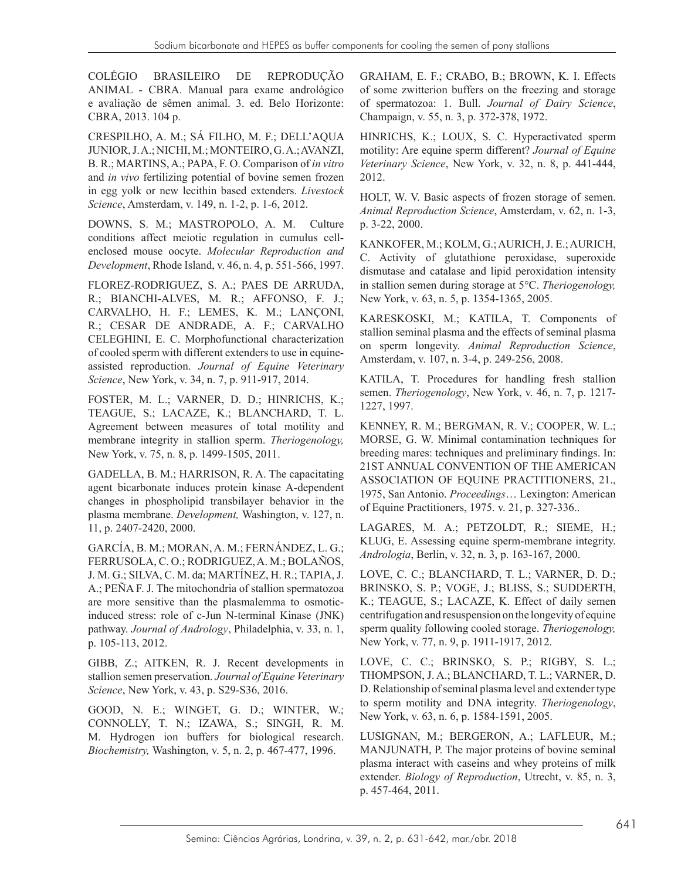COLÉGIO BRASILEIRO DE REPRODUÇÃO ANIMAL - CBRA. Manual para exame andrológico e avaliação de sêmen animal. 3. ed. Belo Horizonte: CBRA, 2013. 104 p.

CRESPILHO, A. M.; SÁ FILHO, M. F.; DELL'AQUA JUNIOR, J. A.; NICHI, M.; MONTEIRO, G. A.; AVANZI, B. R.; MARTINS, A.; PAPA, F. O. Comparison of *in vitro* and *in vivo* fertilizing potential of bovine semen frozen in egg yolk or new lecithin based extenders. *Livestock Science*, Amsterdam, v. 149, n. 1-2, p. 1-6, 2012.

DOWNS, S. M.; MASTROPOLO, A. M. Culture conditions affect meiotic regulation in cumulus cellenclosed mouse oocyte. *Molecular Reproduction and Development*, Rhode Island, v. 46, n. 4, p. 551-566, 1997.

FLOREZ-RODRIGUEZ, S. A.; PAES DE ARRUDA, R.; BIANCHI-ALVES, M. R.; AFFONSO, F. J.; CARVALHO, H. F.; LEMES, K. M.; LANÇONI, R.; CESAR DE ANDRADE, A. F.; CARVALHO CELEGHINI, E. C. Morphofunctional characterization of cooled sperm with different extenders to use in equineassisted reproduction. *Journal of Equine Veterinary Science*, New York, v. 34, n. 7, p. 911-917, 2014.

FOSTER, M. L.; VARNER, D. D.; HINRICHS, K.; TEAGUE, S.; LACAZE, K.; BLANCHARD, T. L. Agreement between measures of total motility and membrane integrity in stallion sperm. *Theriogenology,*  New York, v. 75, n. 8, p. 1499-1505, 2011.

GADELLA, B. M.; HARRISON, R. A. The capacitating agent bicarbonate induces protein kinase A-dependent changes in phospholipid transbilayer behavior in the plasma membrane. *Development,* Washington, v. 127, n. 11, p. 2407-2420, 2000.

GARCÍA, B. M.; MORAN, A. M.; FERNÁNDEZ, L. G.; FERRUSOLA, C. O.; RODRIGUEZ, A. M.; BOLAÑOS, J. M. G.; SILVA, C. M. da; MARTÍNEZ, H. R.; TAPIA, J. A.; PEÑA F. J. The mitochondria of stallion spermatozoa are more sensitive than the plasmalemma to osmoticinduced stress: role of c-Jun N-terminal Kinase (JNK) pathway. *Journal of Andrology*, Philadelphia, v. 33, n. 1, p. 105-113, 2012.

GIBB, Z.; AITKEN, R. J. Recent developments in stallion semen preservation. *Journal of Equine Veterinary Science*, New York, v. 43, p. S29-S36, 2016.

GOOD, N. E.; WINGET, G. D.; WINTER, W.; CONNOLLY, T. N.; IZAWA, S.; SINGH, R. M. M. Hydrogen ion buffers for biological research. *Biochemistry,* Washington, v. 5, n. 2, p. 467-477, 1996.

GRAHAM, E. F.; CRABO, B.; BROWN, K. I. Effects of some zwitterion buffers on the freezing and storage of spermatozoa: 1. Bull. *Journal of Dairy Science*, Champaign, v. 55, n. 3, p. 372-378, 1972.

HINRICHS, K.; LOUX, S. C. Hyperactivated sperm motility: Are equine sperm different? *Journal of Equine Veterinary Science*, New York, v. 32, n. 8, p. 441-444, 2012.

HOLT, W. V. Basic aspects of frozen storage of semen. *Animal Reproduction Science*, Amsterdam, v. 62, n. 1-3, p. 3-22, 2000.

KANKOFER, M.; KOLM, G.; AURICH, J. E.; AURICH, C. Activity of glutathione peroxidase, superoxide dismutase and catalase and lipid peroxidation intensity in stallion semen during storage at 5°C. *Theriogenology,* New York, v. 63, n. 5, p. 1354-1365, 2005.

KARESKOSKI, M.; KATILA, T. Components of stallion seminal plasma and the effects of seminal plasma on sperm longevity. *Animal Reproduction Science*, Amsterdam, v. 107, n. 3-4, p. 249-256, 2008.

KATILA, T. Procedures for handling fresh stallion semen. *Theriogenology*, New York, v. 46, n. 7, p. 1217- 1227, 1997.

KENNEY, R. M.; BERGMAN, R. V.; COOPER, W. L.; MORSE, G. W. Minimal contamination techniques for breeding mares: techniques and preliminary findings. In: 21ST ANNUAL CONVENTION OF THE AMERICAN ASSOCIATION OF EQUINE PRACTITIONERS, 21., 1975, San Antonio. *Proceedings*… Lexington: American of Equine Practitioners, 1975. v. 21, p. 327-336..

LAGARES, M. A.; PETZOLDT, R.; SIEME, H.; KLUG, E. Assessing equine sperm-membrane integrity. *Andrologia*, Berlin, v. 32, n. 3, p. 163-167, 2000.

LOVE, C. C.; BLANCHARD, T. L.; VARNER, D. D.; BRINSKO, S. P.; VOGE, J.; BLISS, S.; SUDDERTH, K.; TEAGUE, S.; LACAZE, K. Effect of daily semen centrifugation and resuspension on the longevity of equine sperm quality following cooled storage. *Theriogenology,* New York, v. 77, n. 9, p. 1911-1917, 2012.

LOVE, C. C.; BRINSKO, S. P.; RIGBY, S. L.; THOMPSON, J. A.; BLANCHARD, T. L.; VARNER, D. D. Relationship of seminal plasma level and extender type to sperm motility and DNA integrity. *Theriogenology*, New York, v. 63, n. 6, p. 1584-1591, 2005.

LUSIGNAN, M.; BERGERON, A.; LAFLEUR, M.; MANJUNATH, P. The major proteins of bovine seminal plasma interact with caseins and whey proteins of milk extender. *Biology of Reproduction*, Utrecht, v. 85, n. 3, p. 457-464, 2011.